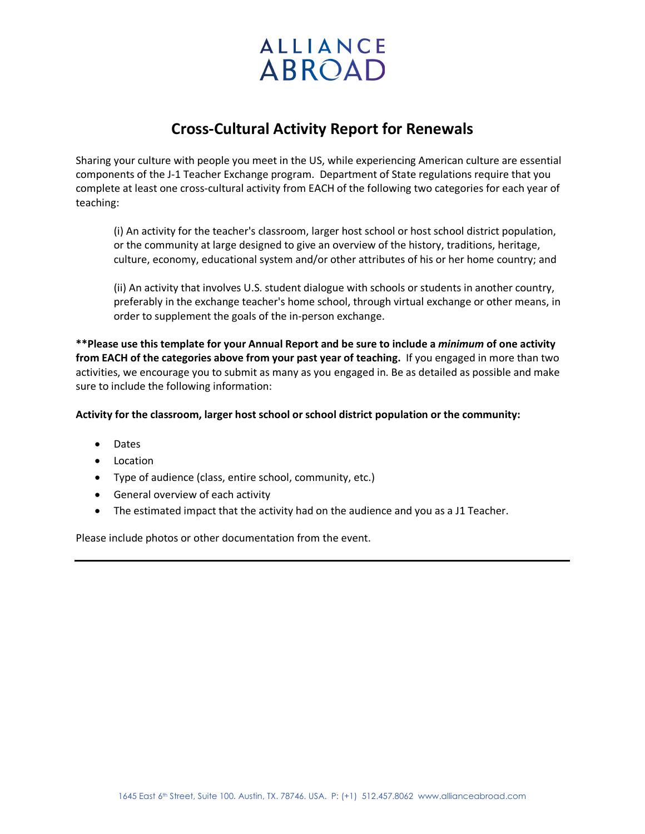## **ALLIANCE ABROAD**

## **Cross-Cultural Activity Report for Renewals**

Sharing your culture with people you meet in the US, while experiencing American culture are essential components of the J-1 Teacher Exchange program. Department of State regulations require that you complete at least one cross-cultural activity from EACH of the following two categories for each year of teaching:

(i) An activity for the teacher's classroom, larger host school or host school district population, or the community at large designed to give an overview of the history, traditions, heritage, culture, economy, educational system and/or other attributes of his or her home country; and

(ii) An activity that involves U.S. student dialogue with schools or students in another country, preferably in the exchange teacher's home school, through virtual exchange or other means, in order to supplement the goals of the in-person exchange.

**\*\*Please use this template for your Annual Report and be sure to include a** *minimum* **of one activity from EACH of the categories above from your past year of teaching.** If you engaged in more than two activities, we encourage you to submit as many as you engaged in. Be as detailed as possible and make sure to include the following information:

## **Activity for the classroom, larger host school or school district population or the community:**

- Dates
- Location
- Type of audience (class, entire school, community, etc.)
- General overview of each activity
- The estimated impact that the activity had on the audience and you as a J1 Teacher.

Please include photos or other documentation from the event.